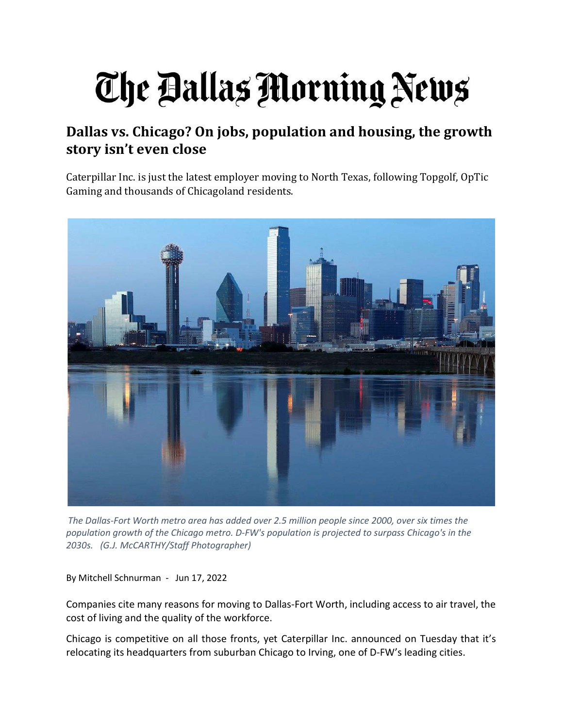# The Ballas Morning News

## Dallas vs. Chicago? On jobs, population and housing, the growth story isn't even close

Caterpillar Inc. is just the latest employer moving to North Texas, following Topgolf, OpTic Gaming and thousands of Chicagoland residents.



The Dallas-Fort Worth metro area has added over 2.5 million people since 2000, over six times the population growth of the Chicago metro. D-FW's population is projected to surpass Chicago's in the 2030s. (G.J. McCARTHY/Staff Photographer)

By Mitchell Schnurman - Jun 17, 2022

Companies cite many reasons for moving to Dallas-Fort Worth, including access to air travel, the cost of living and the quality of the workforce.

Chicago is competitive on all those fronts, yet Caterpillar Inc. announced on Tuesday that it's relocating its headquarters from suburban Chicago to Irving, one of D-FW's leading cities.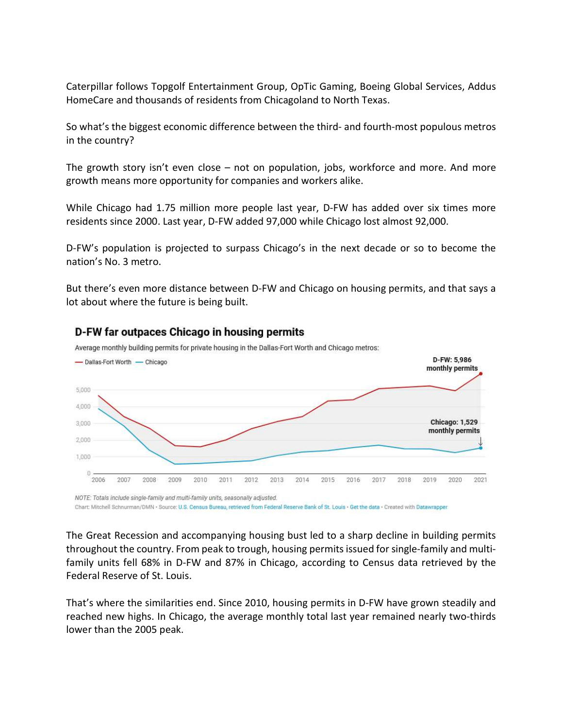Caterpillar follows Topgolf Entertainment Group, OpTic Gaming, Boeing Global Services, Addus HomeCare and thousands of residents from Chicagoland to North Texas.

So what's the biggest economic difference between the third- and fourth-most populous metros in the country?

The growth story isn't even close – not on population, jobs, workforce and more. And more growth means more opportunity for companies and workers alike.

While Chicago had 1.75 million more people last year, D-FW has added over six times more residents since 2000. Last year, D-FW added 97,000 while Chicago lost almost 92,000.

D-FW's population is projected to surpass Chicago's in the next decade or so to become the nation's No. 3 metro.

But there's even more distance between D-FW and Chicago on housing permits, and that says a lot about where the future is being built.



#### D-FW far outpaces Chicago in housing permits

Average monthly building permits for private housing in the Dallas-Fort Worth and Chicago metros:

Chart: Mitchell Schnurman/DMN - Source: U.S. Census Bureau, retrieved from Federal Reserve Bank of St. Louis - Get the data - Created with Datawrapper

The Great Recession and accompanying housing bust led to a sharp decline in building permits throughout the country. From peak to trough, housing permits issued for single-family and multifamily units fell 68% in D-FW and 87% in Chicago, according to Census data retrieved by the Federal Reserve of St. Louis.

That's where the similarities end. Since 2010, housing permits in D-FW have grown steadily and reached new highs. In Chicago, the average monthly total last year remained nearly two-thirds lower than the 2005 peak.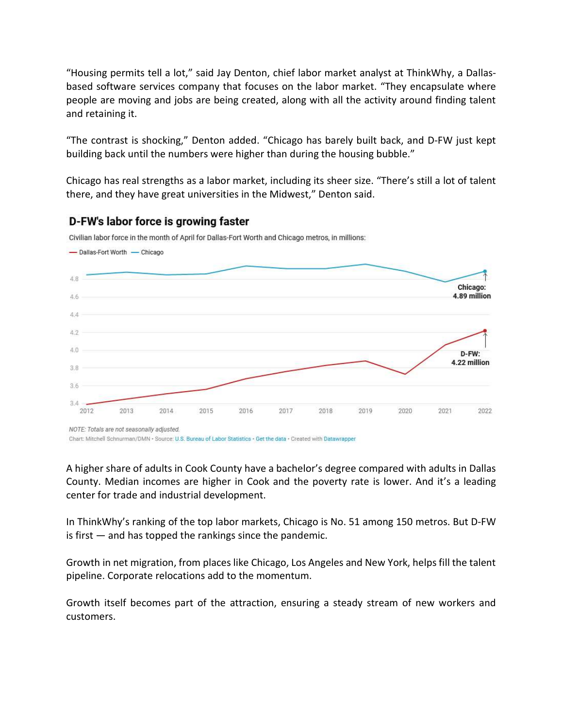"Housing permits tell a lot," said Jay Denton, chief labor market analyst at ThinkWhy, a Dallasbased software services company that focuses on the labor market. "They encapsulate where people are moving and jobs are being created, along with all the activity around finding talent and retaining it.

"The contrast is shocking," Denton added. "Chicago has barely built back, and D-FW just kept building back until the numbers were higher than during the housing bubble."

Chicago has real strengths as a labor market, including its sheer size. "There's still a lot of talent there, and they have great universities in the Midwest," Denton said.



#### D-FW's labor force is growing faster

Civilian labor force in the month of April for Dallas-Fort Worth and Chicago metros, in millions:

Chart: Mitchell Schnurman/DMN - Source: U.S. Bureau of Labor Statistics - Get the data - Created with Datawrapper

A higher share of adults in Cook County have a bachelor's degree compared with adults in Dallas County. Median incomes are higher in Cook and the poverty rate is lower. And it's a leading center for trade and industrial development.

In ThinkWhy's ranking of the top labor markets, Chicago is No. 51 among 150 metros. But D-FW is first — and has topped the rankings since the pandemic.

Growth in net migration, from places like Chicago, Los Angeles and New York, helps fill the talent pipeline. Corporate relocations add to the momentum.

Growth itself becomes part of the attraction, ensuring a steady stream of new workers and customers.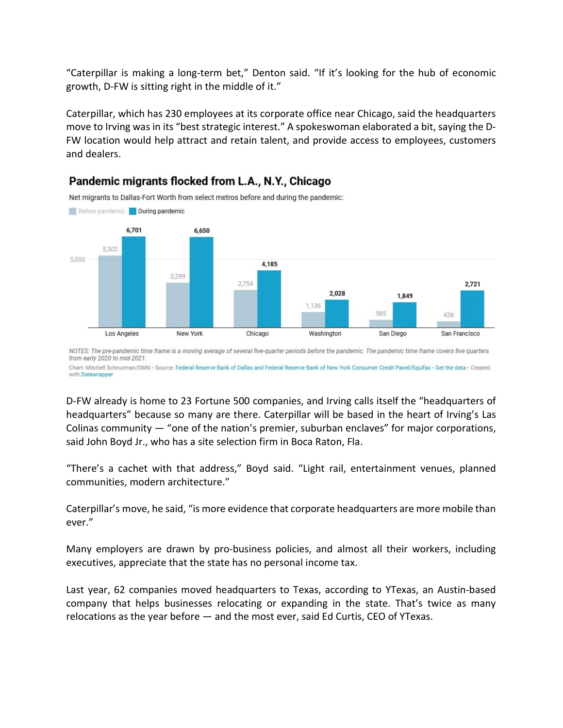"Caterpillar is making a long-term bet," Denton said. "If it's looking for the hub of economic growth, D-FW is sitting right in the middle of it."

Caterpillar, which has 230 employees at its corporate office near Chicago, said the headquarters move to Irving was in its "best strategic interest." A spokeswoman elaborated a bit, saying the D-FW location would help attract and retain talent, and provide access to employees, customers and dealers.



### Pandemic migrants flocked from L.A., N.Y., Chicago

NOTES: The pre-pandemic time frame is a moving average of several five-quarter periods before the pandemic. The pandemic time frame covers five quarters from early 2020 to mid-2021.

Chart: Mitchell Schnurman/DMN · Source: Federal Reserve Bank of Dallas and Federal Reserve Bank of New York Consumer Credit Panel/Equifax · Get the data · Created with Datawrapper

D-FW already is home to 23 Fortune 500 companies, and Irving calls itself the "headquarters of headquarters" because so many are there. Caterpillar will be based in the heart of Irving's Las Colinas community  $-$  "one of the nation's premier, suburban enclaves" for major corporations, said John Boyd Jr., who has a site selection firm in Boca Raton, Fla.

"There's a cachet with that address," Boyd said. "Light rail, entertainment venues, planned communities, modern architecture."

Caterpillar's move, he said, "is more evidence that corporate headquarters are more mobile than ever."

Many employers are drawn by pro-business policies, and almost all their workers, including executives, appreciate that the state has no personal income tax.

Last year, 62 companies moved headquarters to Texas, according to YTexas, an Austin-based company that helps businesses relocating or expanding in the state. That's twice as many relocations as the year before — and the most ever, said Ed Curtis, CEO of YTexas.